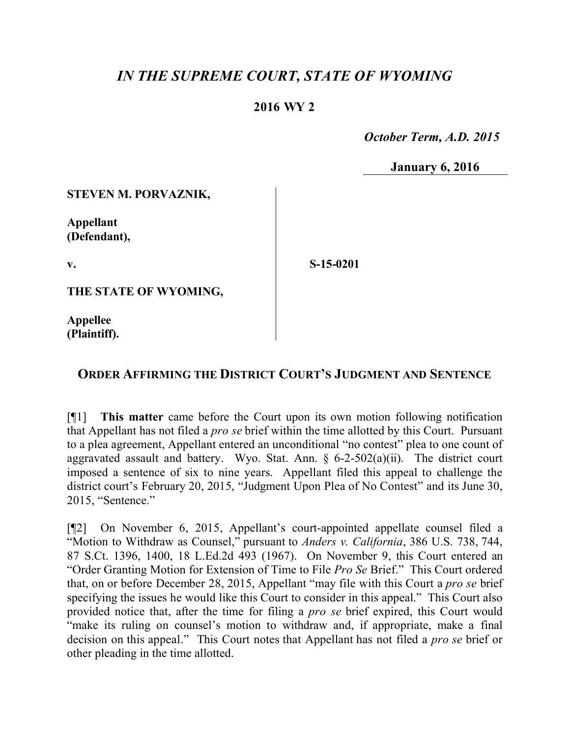# *IN THE SUPREME COURT, STATE OF WYOMING*

## **2016 WY 2**

 *October Term, A.D. 2015*

**January 6, 2016**

### **STEVEN M. PORVAZNIK,**

**Appellant (Defendant),**

**v.**

**S-15-0201**

**THE STATE OF WYOMING,**

**Appellee (Plaintiff).**

## **ORDER AFFIRMING THE DISTRICT COURT'S JUDGMENT AND SENTENCE**

[¶1] **This matter** came before the Court upon its own motion following notification that Appellant has not filed a *pro se* brief within the time allotted by this Court. Pursuant to a plea agreement, Appellant entered an unconditional "no contest" plea to one count of aggravated assault and battery. Wyo. Stat. Ann.  $\S$  6-2-502(a)(ii). The district court imposed a sentence of six to nine years. Appellant filed this appeal to challenge the district court's February 20, 2015, "Judgment Upon Plea of No Contest" and its June 30, 2015, "Sentence."

[¶2] On November 6, 2015, Appellant's court-appointed appellate counsel filed a "Motion to Withdraw as Counsel," pursuant to *Anders v. California*, 386 U.S. 738, 744, 87 S.Ct. 1396, 1400, 18 L.Ed.2d 493 (1967). On November 9, this Court entered an "Order Granting Motion for Extension of Time to File *Pro Se* Brief." This Court ordered that, on or before December 28, 2015, Appellant "may file with this Court a *pro se* brief specifying the issues he would like this Court to consider in this appeal." This Court also provided notice that, after the time for filing a *pro se* brief expired, this Court would "make its ruling on counsel's motion to withdraw and, if appropriate, make a final decision on this appeal." This Court notes that Appellant has not filed a *pro se* brief or other pleading in the time allotted.